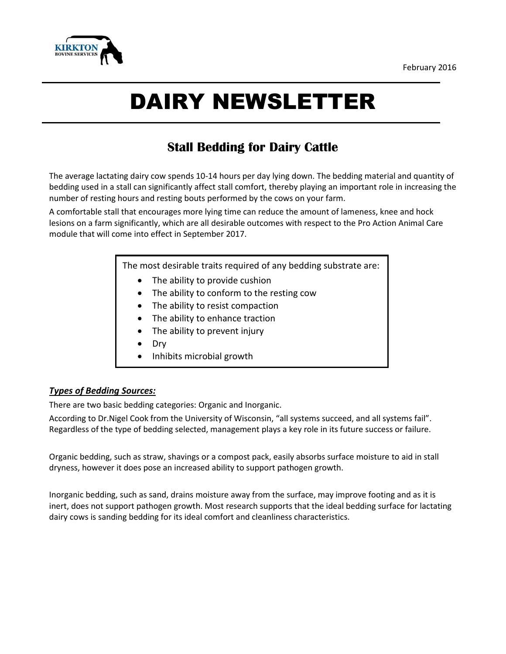

# DAIRY NEWSLETTER

## **Stall Bedding for Dairy Cattle**

The average lactating dairy cow spends 10-14 hours per day lying down. The bedding material and quantity of bedding used in a stall can significantly affect stall comfort, thereby playing an important role in increasing the number of resting hours and resting bouts performed by the cows on your farm.

A comfortable stall that encourages more lying time can reduce the amount of lameness, knee and hock lesions on a farm significantly, which are all desirable outcomes with respect to the Pro Action Animal Care module that will come into effect in September 2017.

The most desirable traits required of any bedding substrate are:

- The ability to provide cushion
- The ability to conform to the resting cow
- The ability to resist compaction
- The ability to enhance traction
- The ability to prevent injury
- Dry
- Inhibits microbial growth

### *Types of Bedding Sources:*

There are two basic bedding categories: Organic and Inorganic.

According to Dr.Nigel Cook from the University of Wisconsin, "all systems succeed, and all systems fail". Regardless of the type of bedding selected, management plays a key role in its future success or failure.

Organic bedding, such as straw, shavings or a compost pack, easily absorbs surface moisture to aid in stall dryness, however it does pose an increased ability to support pathogen growth.

Inorganic bedding, such as sand, drains moisture away from the surface, may improve footing and as it is inert, does not support pathogen growth. Most research supports that the ideal bedding surface for lactating dairy cows is sanding bedding for its ideal comfort and cleanliness characteristics.